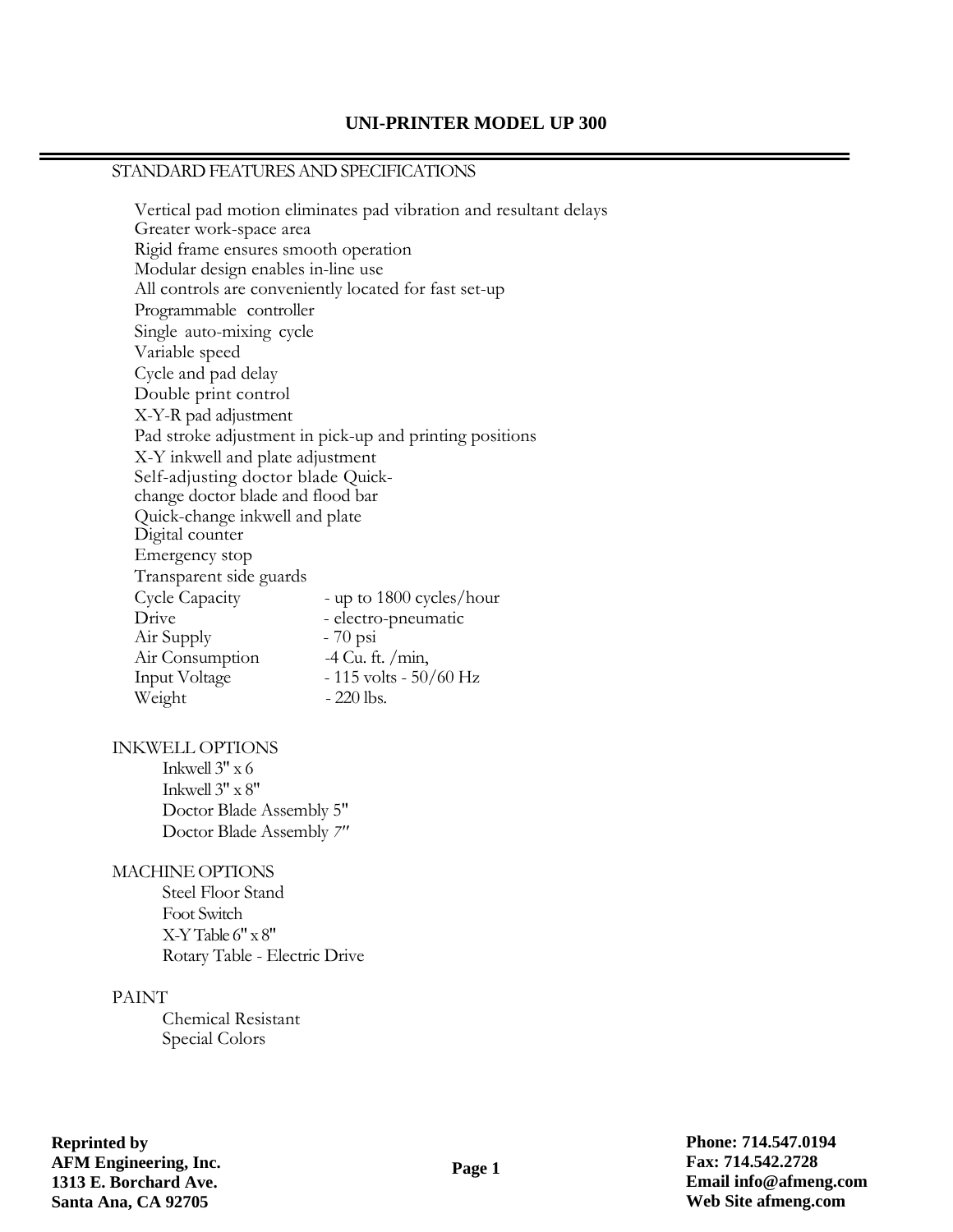### **UNI-PRINTER MODEL UP 300**

# STANDARD FEATURES AND SPECIFICATIONS

Vertical pad motion eliminates pad vibration and resultant delays Greater work-space area Rigid frame ensures smooth operation Modular design enables in-line use All controls are conveniently located for fast set-up Programmable controller Single auto-mixing cycle Variable speed Cycle and pad delay Double print control X-Y-R pad adjustment Pad stroke adjustment in pick-up and printing positions X-Y inkwell and plate adjustment Self-adjusting doctor blade Quickchange doctor blade and flood bar Quick-change inkwell and plate Digital counter Emergency stop Transparent side guards Cycle Capacity - up to 1800 cycles/hour Drive - electro-pneumatic Air Supply - 70 psi Air Consumption -4 Cu. ft. /min, Input Voltage - 115 volts - 50/60 Hz Weight - 220 lbs.

#### INKWELL OPTIONS

Inkwell  $3" \times 6$ Inkwell 3" x 8" Doctor Blade Assembly 5" Doctor Blade Assembly *7"*

### MACHINE OPTIONS

Steel Floor Stand Foot Switch X-Y Table 6" x 8" Rotary Table - Electric Drive

#### PAINT

Chemical Resistant Special Colors